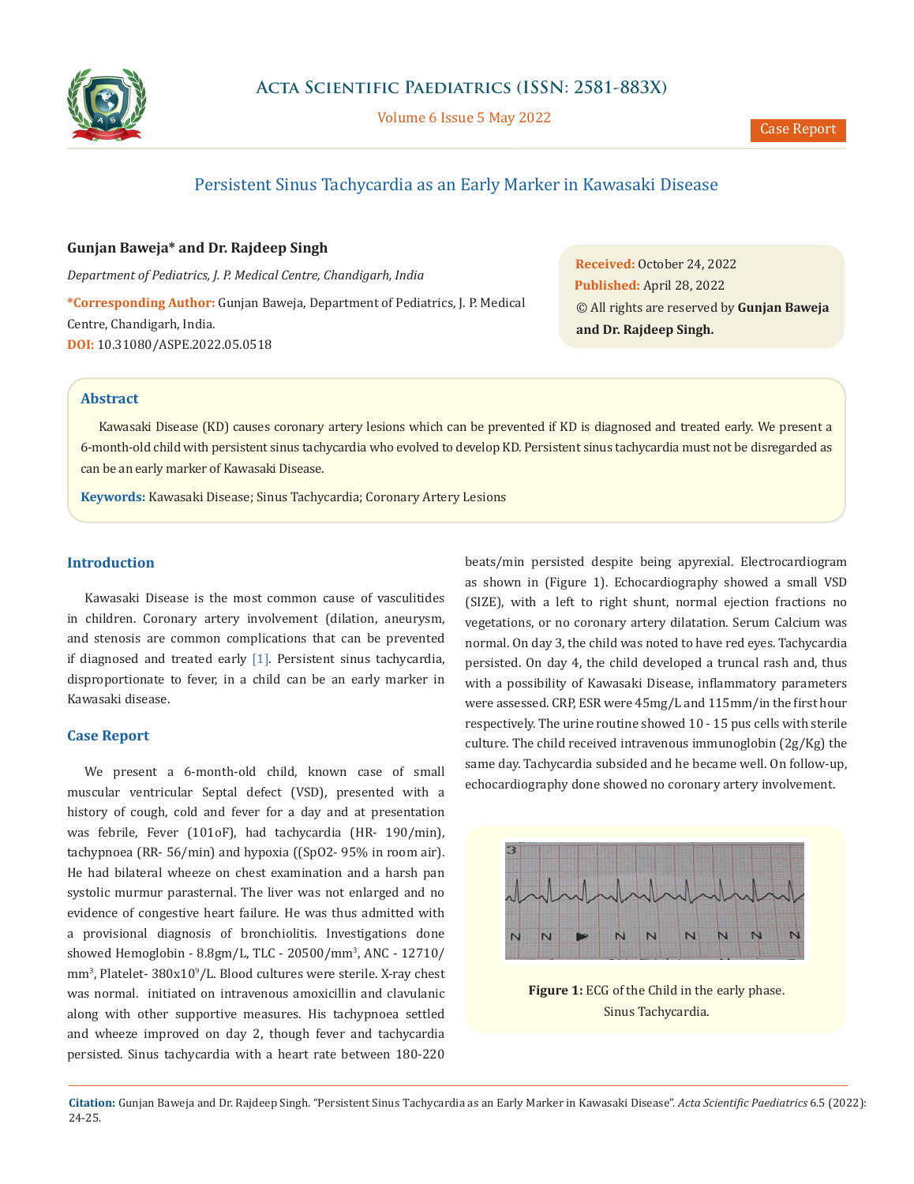

Volume 6 Issue 5 May 2022

# Persistent Sinus Tachycardia as an Early Marker in Kawasaki Disease

### **Gunjan Baweja\* and Dr. Rajdeep Singh**

*Department of Pediatrics, J. P. Medical Centre, Chandigarh, India* **\*Corresponding Author:** Gunjan Baweja, Department of Pediatrics, J. P. Medical Centre, Chandigarh, India. **DOI:** [10.31080/ASPE.2022.05.0518](https://actascientific.com/ASPE/pdf/ASPE-05-0518.pdf)

**Received:** October 24, 2022 **Published:** April 28, 2022 © All rights are reserved by **Gunjan Baweja and Dr. Rajdeep Singh.**

#### **Abstract**

Kawasaki Disease (KD) causes coronary artery lesions which can be prevented if KD is diagnosed and treated early. We present a 6-month-old child with persistent sinus tachycardia who evolved to develop KD. Persistent sinus tachycardia must not be disregarded as can be an early marker of Kawasaki Disease.

**Keywords:** Kawasaki Disease; Sinus Tachycardia; Coronary Artery Lesions

### **Introduction**

Kawasaki Disease is the most common cause of vasculitides in children. Coronary artery involvement (dilation, aneurysm, and stenosis are common complications that can be prevented if diagnosed and treated early [1]. Persistent sinus tachycardia, disproportionate to fever, in a child can be an early marker in Kawasaki disease.

#### **Case Report**

We present a 6-month-old child, known case of small muscular ventricular Septal defect (VSD), presented with a history of cough, cold and fever for a day and at presentation was febrile, Fever (101oF), had tachycardia (HR- 190/min), tachypnoea (RR- 56/min) and hypoxia ((SpO2- 95% in room air). He had bilateral wheeze on chest examination and a harsh pan systolic murmur parasternal. The liver was not enlarged and no evidence of congestive heart failure. He was thus admitted with a provisional diagnosis of bronchiolitis. Investigations done showed Hemoglobin - 8.8gm/L, TLC - 20500/mm3 , ANC - 12710/ mm3 , Platelet- 380x109 /L. Blood cultures were sterile. X-ray chest was normal. initiated on intravenous amoxicillin and clavulanic along with other supportive measures. His tachypnoea settled and wheeze improved on day 2, though fever and tachycardia persisted. Sinus tachycardia with a heart rate between 180-220

beats/min persisted despite being apyrexial. Electrocardiogram as shown in (Figure 1). Echocardiography showed a small VSD (SIZE), with a left to right shunt, normal ejection fractions no vegetations, or no coronary artery dilatation. Serum Calcium was normal. On day 3, the child was noted to have red eyes. Tachycardia persisted. On day 4, the child developed a truncal rash and, thus with a possibility of Kawasaki Disease, inflammatory parameters were assessed. CRP, ESR were 45mg/L and 115mm/in the first hour respectively. The urine routine showed 10 - 15 pus cells with sterile culture. The child received intravenous immunoglobin (2g/Kg) the same day. Tachycardia subsided and he became well. On follow-up, echocardiography done showed no coronary artery involvement.



**Figure 1:** ECG of the Child in the early phase. Sinus Tachycardia.

**Citation:** Gunjan Baweja and Dr. Rajdeep Singh*.* "Persistent Sinus Tachycardia as an Early Marker in Kawasaki Disease". *Acta Scientific Paediatrics* 6.5 (2022): 24-25.